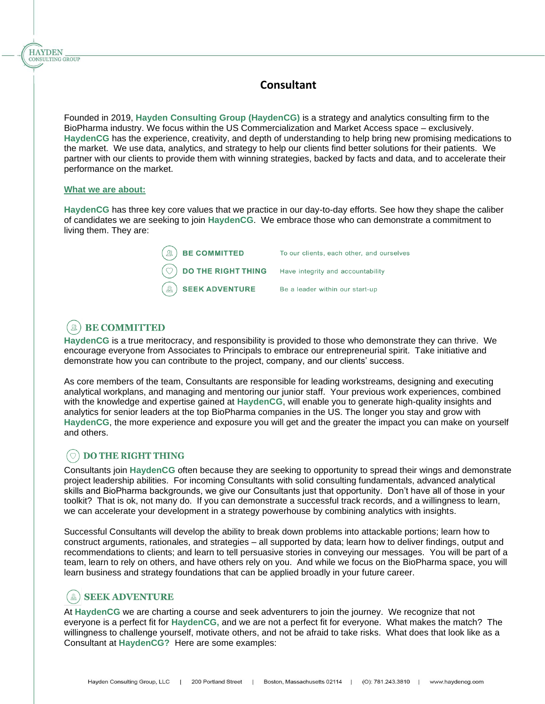## **Consultant**

Founded in 2019, **Hayden Consulting Group (HaydenCG)** is a strategy and analytics consulting firm to the BioPharma industry. We focus within the US Commercialization and Market Access space – exclusively. **HaydenCG** has the experience, creativity, and depth of understanding to help bring new promising medications to the market. We use data, analytics, and strategy to help our clients find better solutions for their patients. We partner with our clients to provide them with winning strategies, backed by facts and data, and to accelerate their performance on the market.

#### **What we are about:**

**HAYDEN** CONSULTING GROUP

> **HaydenCG** has three key core values that we practice in our day-to-day efforts. See how they shape the caliber of candidates we are seeking to join **HaydenCG**. We embrace those who can demonstrate a commitment to living them. They are:

| $\left(\mathbb{R}\right)$ BE COMMITTED                             | To our clients, each other, and ourselves |
|--------------------------------------------------------------------|-------------------------------------------|
| $\circled{)}$ DO THE RIGHT THING Have integrity and accountability |                                           |
| $\mathbb{R}$ SEEK ADVENTURE                                        | Be a leader within our start-up           |

#### **BE COMMITTED**  $\mathfrak{R}$

**HaydenCG** is a true meritocracy, and responsibility is provided to those who demonstrate they can thrive. We encourage everyone from Associates to Principals to embrace our entrepreneurial spirit. Take initiative and demonstrate how you can contribute to the project, company, and our clients' success.

As core members of the team, Consultants are responsible for leading workstreams, designing and executing analytical workplans, and managing and mentoring our junior staff. Your previous work experiences, combined with the knowledge and expertise gained at **HaydenCG**, will enable you to generate high-quality insights and analytics for senior leaders at the top BioPharma companies in the US. The longer you stay and grow with **HaydenCG**, the more experience and exposure you will get and the greater the impact you can make on yourself and others.

## **DO THE RIGHT THING**

Consultants join **HaydenCG** often because they are seeking to opportunity to spread their wings and demonstrate project leadership abilities. For incoming Consultants with solid consulting fundamentals, advanced analytical skills and BioPharma backgrounds, we give our Consultants just that opportunity. Don't have all of those in your toolkit? That is ok, not many do. If you can demonstrate a successful track records, and a willingness to learn, we can accelerate your development in a strategy powerhouse by combining analytics with insights.

Successful Consultants will develop the ability to break down problems into attackable portions; learn how to construct arguments, rationales, and strategies – all supported by data; learn how to deliver findings, output and recommendations to clients; and learn to tell persuasive stories in conveying our messages. You will be part of a team, learn to rely on others, and have others rely on you. And while we focus on the BioPharma space, you will learn business and strategy foundations that can be applied broadly in your future career.

# (&) SEEK ADVENTURE

At **HaydenCG** we are charting a course and seek adventurers to join the journey. We recognize that not everyone is a perfect fit for **HaydenCG,** and we are not a perfect fit for everyone. What makes the match? The willingness to challenge yourself, motivate others, and not be afraid to take risks. What does that look like as a Consultant at **HaydenCG?** Here are some examples: